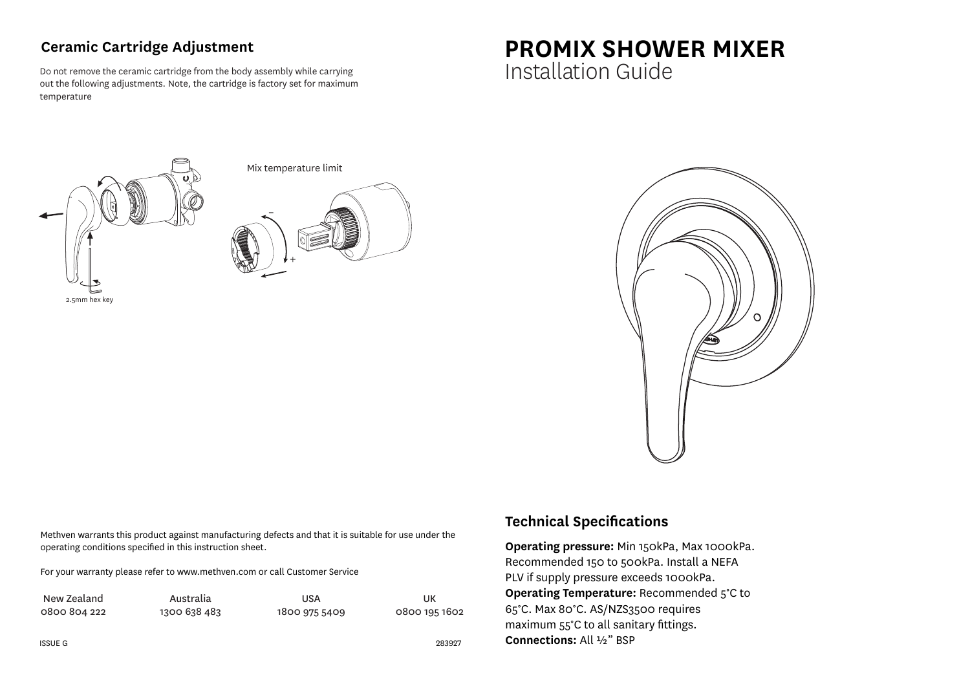## **Ceramic Cartridge Adjustment**

Do not remove the ceramic cartridge from the body assembly while carrying out the following adjustments. Note, the cartridge is factory set for maximum temperature

## **PROMIX SHOWER MIXER** Installation Guide







Methven warrants this product against manufacturing defects and that it is suitable for use under the operating conditions specified in this instruction sheet.

For your warranty please refer to www.methven.com or call Customer Service

| New Zealand  | Australia    | USA           | UK            |
|--------------|--------------|---------------|---------------|
| 0800 804 222 | 1300 638 483 | 1800 975 5409 | 0800 195 1602 |

## **Technical Specifications**

**Operating pressure:** Min 150kPa, Max 1000kPa. Recommended 150 to 500kPa. Install a NEFA PLV if supply pressure exceeds 1000kPa. **Operating Temperature:** Recommended 5°C to 65°C. Max 80°C. AS/NZS3500 requires maximum 55°C to all sanitary fittings. **Connections:** All ½" BSP

283927